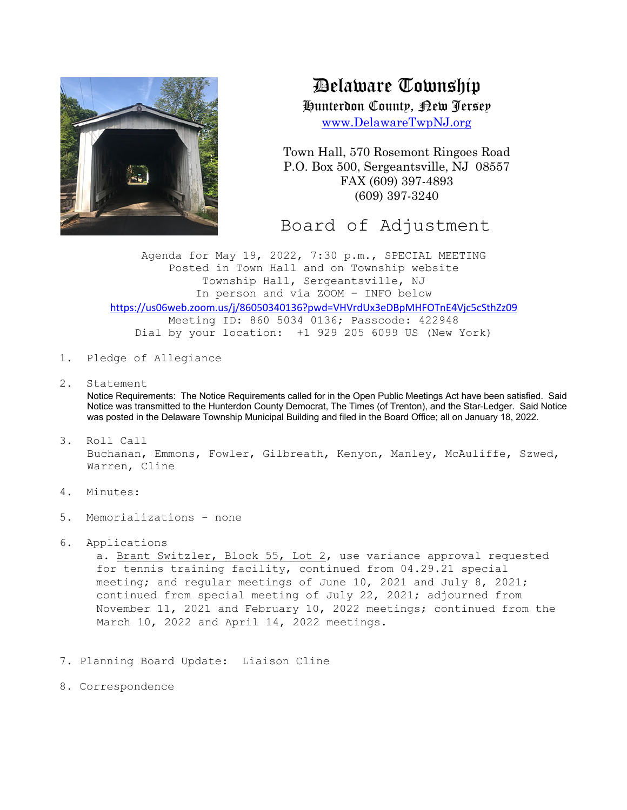

Delaware Township

Hunterdon County, New Jersey

www.DelawareTwpNJ.org

Town Hall, 570 Rosemont Ringoes Road P.O. Box 500, Sergeantsville, NJ 08557 FAX (609) 397-4893 (609) 397-3240

Board of Adjustment

Agenda for May 19, 2022, 7:30 p.m., SPECIAL MEETING Posted in Town Hall and on Township website Township Hall, Sergeantsville, NJ In person and via ZOOM – INFO below https://us06web.zoom.us/j/86050340136?pwd=VHVrdUx3eDBpMHFOTnE4Vjc5cSthZz09 Meeting ID: 860 5034 0136; Passcode: 422948

Dial by your location: +1 929 205 6099 US (New York)

- 1. Pledge of Allegiance
- 2. Statement

Notice Requirements: The Notice Requirements called for in the Open Public Meetings Act have been satisfied. Said Notice was transmitted to the Hunterdon County Democrat, The Times (of Trenton), and the Star-Ledger. Said Notice was posted in the Delaware Township Municipal Building and filed in the Board Office; all on January 18, 2022.

- 3. Roll Call Buchanan, Emmons, Fowler, Gilbreath, Kenyon, Manley, McAuliffe, Szwed, Warren, Cline
- 4. Minutes:
- 5. Memorializations none
- 6. Applications

a. Brant Switzler, Block 55, Lot 2, use variance approval requested for tennis training facility, continued from 04.29.21 special meeting; and regular meetings of June 10, 2021 and July 8, 2021; continued from special meeting of July 22, 2021; adjourned from November 11, 2021 and February 10, 2022 meetings; continued from the March 10, 2022 and April 14, 2022 meetings.

- 7. Planning Board Update: Liaison Cline
- 8. Correspondence